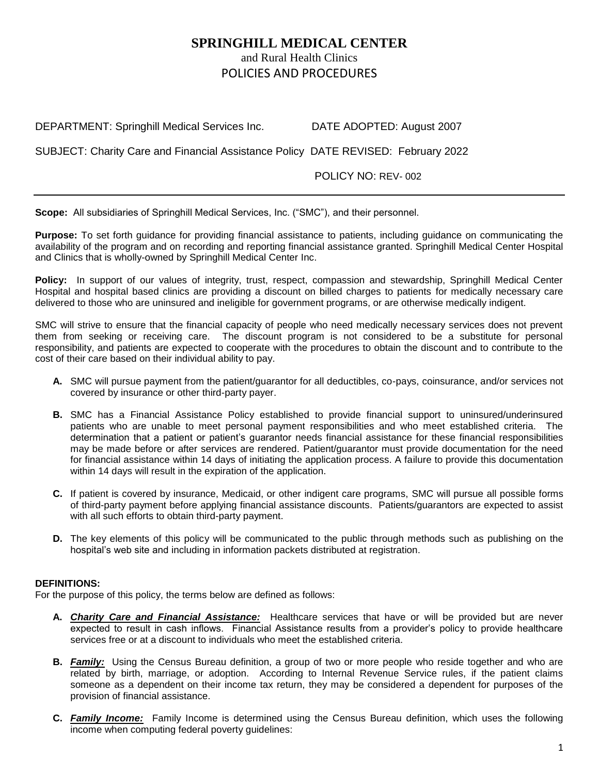# **SPRINGHILL MEDICAL CENTER** and Rural Health Clinics POLICIES AND PROCEDURES

DEPARTMENT: Springhill Medical Services Inc. DATE ADOPTED: August 2007

SUBJECT: Charity Care and Financial Assistance Policy DATE REVISED: February 2022

POLICY NO: REV- 002

**Scope:** All subsidiaries of Springhill Medical Services, Inc. ("SMC"), and their personnel.

**Purpose:** To set forth guidance for providing financial assistance to patients, including guidance on communicating the availability of the program and on recording and reporting financial assistance granted. Springhill Medical Center Hospital and Clinics that is wholly-owned by Springhill Medical Center Inc.

**Policy:** In support of our values of integrity, trust, respect, compassion and stewardship, Springhill Medical Center Hospital and hospital based clinics are providing a discount on billed charges to patients for medically necessary care delivered to those who are uninsured and ineligible for government programs, or are otherwise medically indigent.

SMC will strive to ensure that the financial capacity of people who need medically necessary services does not prevent them from seeking or receiving care. The discount program is not considered to be a substitute for personal responsibility, and patients are expected to cooperate with the procedures to obtain the discount and to contribute to the cost of their care based on their individual ability to pay.

- **A.** SMC will pursue payment from the patient/guarantor for all deductibles, co-pays, coinsurance, and/or services not covered by insurance or other third-party payer.
- **B.** SMC has a Financial Assistance Policy established to provide financial support to uninsured/underinsured patients who are unable to meet personal payment responsibilities and who meet established criteria. The determination that a patient or patient's guarantor needs financial assistance for these financial responsibilities may be made before or after services are rendered. Patient/guarantor must provide documentation for the need for financial assistance within 14 days of initiating the application process. A failure to provide this documentation within 14 days will result in the expiration of the application.
- **C.** If patient is covered by insurance, Medicaid, or other indigent care programs, SMC will pursue all possible forms of third-party payment before applying financial assistance discounts. Patients/guarantors are expected to assist with all such efforts to obtain third-party payment.
- **D.** The key elements of this policy will be communicated to the public through methods such as publishing on the hospital's web site and including in information packets distributed at registration.

## **DEFINITIONS:**

For the purpose of this policy, the terms below are defined as follows:

- **A.** *Charity Care and Financial Assistance:*Healthcare services that have or will be provided but are never expected to result in cash inflows. Financial Assistance results from a provider's policy to provide healthcare services free or at a discount to individuals who meet the established criteria.
- **B.** *Family:* Using the Census Bureau definition, a group of two or more people who reside together and who are related by birth, marriage, or adoption. According to Internal Revenue Service rules, if the patient claims someone as a dependent on their income tax return, they may be considered a dependent for purposes of the provision of financial assistance.
- **C.** *Family Income:*Family Income is determined using the Census Bureau definition, which uses the following income when computing federal poverty guidelines: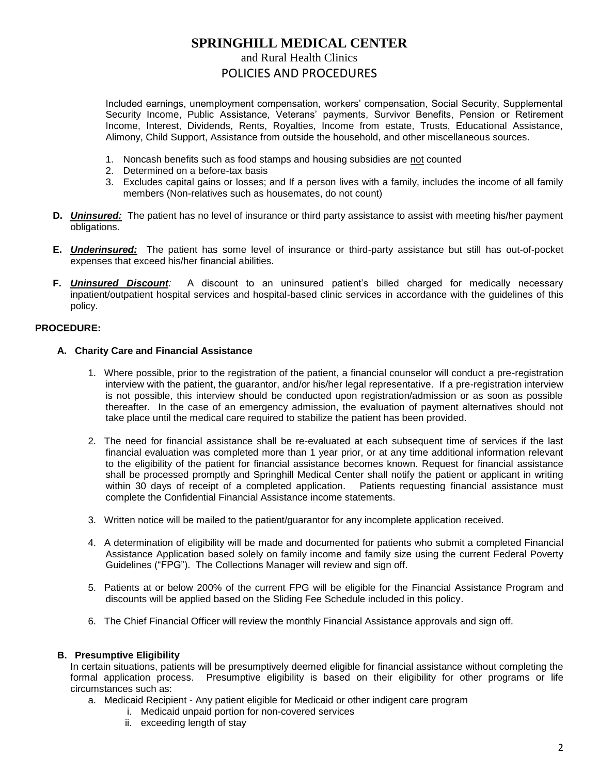# **SPRINGHILL MEDICAL CENTER**

and Rural Health Clinics

## POLICIES AND PROCEDURES

Included earnings, unemployment compensation, workers' compensation, Social Security, Supplemental Security Income, Public Assistance, Veterans' payments, Survivor Benefits, Pension or Retirement Income, Interest, Dividends, Rents, Royalties, Income from estate, Trusts, Educational Assistance, Alimony, Child Support, Assistance from outside the household, and other miscellaneous sources.

- 1. Noncash benefits such as food stamps and housing subsidies are not counted
- 2. Determined on a before-tax basis
- 3. Excludes capital gains or losses; and If a person lives with a family, includes the income of all family members (Non-relatives such as housemates, do not count)
- **D.** *Uninsured:*The patient has no level of insurance or third party assistance to assist with meeting his/her payment obligations.
- **E.** *Underinsured:*The patient has some level of insurance or third-party assistance but still has out-of-pocket expenses that exceed his/her financial abilities.
- **F.** *Uninsured Discount:* A discount to an uninsured patient's billed charged for medically necessary inpatient/outpatient hospital services and hospital-based clinic services in accordance with the guidelines of this policy.

# **PROCEDURE:**

## **A. Charity Care and Financial Assistance**

- 1. Where possible, prior to the registration of the patient, a financial counselor will conduct a pre-registration interview with the patient, the guarantor, and/or his/her legal representative. If a pre-registration interview is not possible, this interview should be conducted upon registration/admission or as soon as possible thereafter. In the case of an emergency admission, the evaluation of payment alternatives should not take place until the medical care required to stabilize the patient has been provided.
- 2. The need for financial assistance shall be re-evaluated at each subsequent time of services if the last financial evaluation was completed more than 1 year prior, or at any time additional information relevant to the eligibility of the patient for financial assistance becomes known. Request for financial assistance shall be processed promptly and Springhill Medical Center shall notify the patient or applicant in writing within 30 days of receipt of a completed application. Patients requesting financial assistance must complete the Confidential Financial Assistance income statements.
- 3. Written notice will be mailed to the patient/guarantor for any incomplete application received.
- 4. A determination of eligibility will be made and documented for patients who submit a completed Financial Assistance Application based solely on family income and family size using the current Federal Poverty Guidelines ("FPG"). The Collections Manager will review and sign off.
- 5. Patients at or below 200% of the current FPG will be eligible for the Financial Assistance Program and discounts will be applied based on the Sliding Fee Schedule included in this policy.
- 6. The Chief Financial Officer will review the monthly Financial Assistance approvals and sign off.

## **B. Presumptive Eligibility**

In certain situations, patients will be presumptively deemed eligible for financial assistance without completing the formal application process. Presumptive eligibility is based on their eligibility for other programs or life circumstances such as:

- a. Medicaid Recipient Any patient eligible for Medicaid or other indigent care program
	- i. Medicaid unpaid portion for non-covered services
	- ii. exceeding length of stay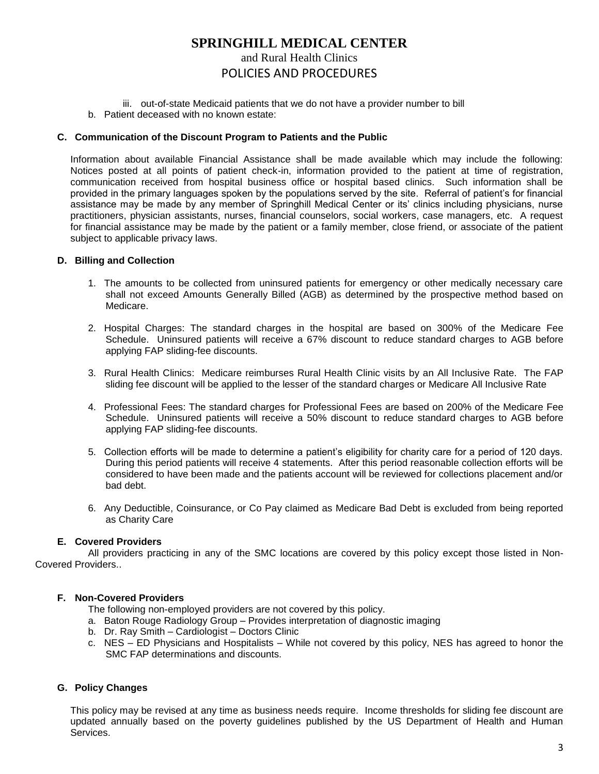# **SPRINGHILL MEDICAL CENTER**

# and Rural Health Clinics

# POLICIES AND PROCEDURES

- iii. out-of-state Medicaid patients that we do not have a provider number to bill
- b. Patient deceased with no known estate:

#### **C. Communication of the Discount Program to Patients and the Public**

Information about available Financial Assistance shall be made available which may include the following: Notices posted at all points of patient check-in, information provided to the patient at time of registration, communication received from hospital business office or hospital based clinics. Such information shall be provided in the primary languages spoken by the populations served by the site. Referral of patient's for financial assistance may be made by any member of Springhill Medical Center or its' clinics including physicians, nurse practitioners, physician assistants, nurses, financial counselors, social workers, case managers, etc. A request for financial assistance may be made by the patient or a family member, close friend, or associate of the patient subject to applicable privacy laws.

#### **D. Billing and Collection**

- 1. The amounts to be collected from uninsured patients for emergency or other medically necessary care shall not exceed Amounts Generally Billed (AGB) as determined by the prospective method based on Medicare.
- 2. Hospital Charges: The standard charges in the hospital are based on 300% of the Medicare Fee Schedule. Uninsured patients will receive a 67% discount to reduce standard charges to AGB before applying FAP sliding-fee discounts.
- 3. Rural Health Clinics: Medicare reimburses Rural Health Clinic visits by an All Inclusive Rate. The FAP sliding fee discount will be applied to the lesser of the standard charges or Medicare All Inclusive Rate
- 4. Professional Fees: The standard charges for Professional Fees are based on 200% of the Medicare Fee Schedule. Uninsured patients will receive a 50% discount to reduce standard charges to AGB before applying FAP sliding-fee discounts.
- 5. Collection efforts will be made to determine a patient's eligibility for charity care for a period of 120 days. During this period patients will receive 4 statements. After this period reasonable collection efforts will be considered to have been made and the patients account will be reviewed for collections placement and/or bad debt.
- 6. Any Deductible, Coinsurance, or Co Pay claimed as Medicare Bad Debt is excluded from being reported as Charity Care

## **E. Covered Providers**

All providers practicing in any of the SMC locations are covered by this policy except those listed in Non-Covered Providers..

## **F. Non-Covered Providers**

- The following non-employed providers are not covered by this policy.
- a. Baton Rouge Radiology Group Provides interpretation of diagnostic imaging
- b. Dr. Ray Smith Cardiologist Doctors Clinic
- c. NES ED Physicians and Hospitalists While not covered by this policy, NES has agreed to honor the SMC FAP determinations and discounts.

## **G. Policy Changes**

This policy may be revised at any time as business needs require. Income thresholds for sliding fee discount are updated annually based on the poverty guidelines published by the US Department of Health and Human Services.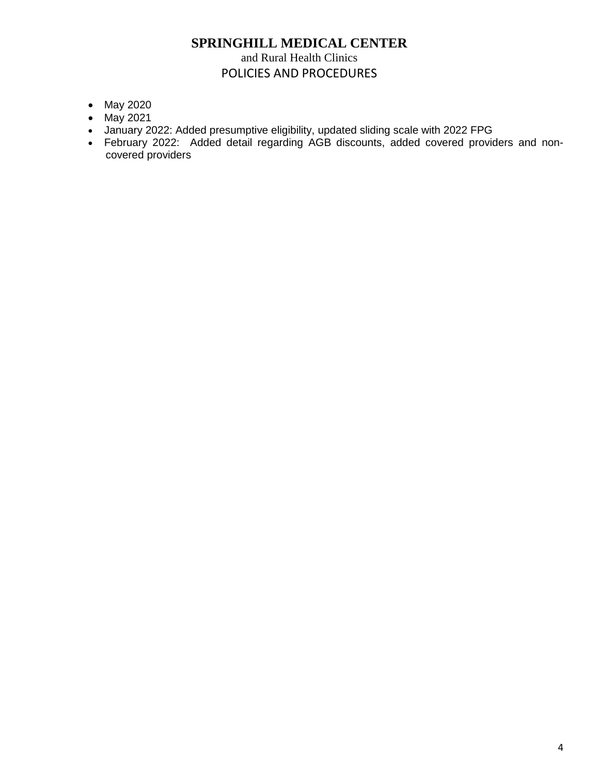# **SPRINGHILL MEDICAL CENTER** and Rural Health Clinics

# POLICIES AND PROCEDURES

- May 2020
- May 2021
- January 2022: Added presumptive eligibility, updated sliding scale with 2022 FPG
- February 2022: Added detail regarding AGB discounts, added covered providers and noncovered providers